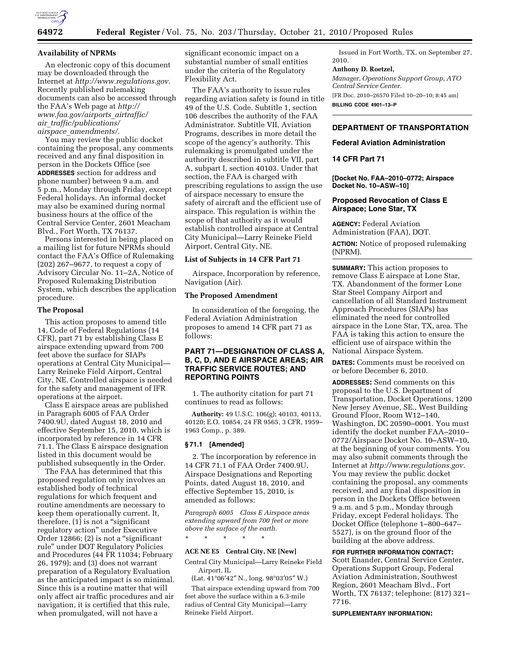

### **Availability of NPRMs**

An electronic copy of this document may be downloaded through the Internet at *[http://www.regulations.gov.](http://www.regulations.gov)*  Recently published rulemaking documents can also be accessed through the FAA's Web page at *[http://](http://www.faa.gov/airports_airtraffic/air_traffic/publications/airspace_amendments/)  [www.faa.gov/airports](http://www.faa.gov/airports_airtraffic/air_traffic/publications/airspace_amendments/)*\_*airtraffic/ air*\_*[traffic/publications/](http://www.faa.gov/airports_airtraffic/air_traffic/publications/airspace_amendments/) airspace*\_*[amendments/.](http://www.faa.gov/airports_airtraffic/air_traffic/publications/airspace_amendments/)* 

You may review the public docket containing the proposal, any comments received and any final disposition in person in the Dockets Office (see **ADDRESSES** section for address and phone number) between 9 a.m. and 5 p.m., Monday through Friday, except Federal holidays. An informal docket may also be examined during normal business hours at the office of the Central Service Center, 2601 Meacham Blvd., Fort Worth, TX 76137.

Persons interested in being placed on a mailing list for future NPRMs should contact the FAA's Office of Rulemaking (202) 267–9677, to request a copy of Advisory Circular No. 11–2A, Notice of Proposed Rulemaking Distribution System, which describes the application procedure.

### **The Proposal**

This action proposes to amend title 14, Code of Federal Regulations (14 CFR), part 71 by establishing Class E airspace extending upward from 700 feet above the surface for SIAPs operations at Central City Municipal— Larry Reineke Field Airport, Central City, NE. Controlled airspace is needed for the safety and management of IFR operations at the airport.

Class E airspace areas are published in Paragraph 6005 of FAA Order 7400.9U, dated August 18, 2010 and effective September 15, 2010, which is incorporated by reference in 14 CFR 71.1. The Class E airspace designation listed in this document would be published subsequently in the Order.

The FAA has determined that this proposed regulation only involves an established body of technical regulations for which frequent and routine amendments are necessary to keep them operationally current. It, therefore,  $(1)$  is not a "significant" regulatory action'' under Executive Order 12866; (2) is not a ''significant rule'' under DOT Regulatory Policies and Procedures (44 FR 11034; February 26, 1979); and (3) does not warrant preparation of a Regulatory Evaluation as the anticipated impact is so minimal. Since this is a routine matter that will only affect air traffic procedures and air navigation, it is certified that this rule, when promulgated, will not have a

significant economic impact on a substantial number of small entities under the criteria of the Regulatory Flexibility Act.

The FAA's authority to issue rules regarding aviation safety is found in title 49 of the U.S. Code. Subtitle 1, section 106 describes the authority of the FAA Administrator. Subtitle VII, Aviation Programs, describes in more detail the scope of the agency's authority. This rulemaking is promulgated under the authority described in subtitle VII, part A, subpart I, section 40103. Under that section, the FAA is charged with prescribing regulations to assign the use of airspace necessary to ensure the safety of aircraft and the efficient use of airspace. This regulation is within the scope of that authority as it would establish controlled airspace at Central City Municipal—Larry Reineke Field Airport, Central City, NE.

## **List of Subjects in 14 CFR Part 71**

Airspace, Incorporation by reference, Navigation (Air).

## **The Proposed Amendment**

In consideration of the foregoing, the Federal Aviation Administration proposes to amend 14 CFR part 71 as follows:

# **PART 71—DESIGNATION OF CLASS A, B, C, D, AND E AIRSPACE AREAS; AIR TRAFFIC SERVICE ROUTES; AND REPORTING POINTS**

1. The authority citation for part 71 continues to read as follows:

**Authority:** 49 U.S.C. 106(g); 40103, 40113, 40120; E.O. 10854, 24 FR 9565, 3 CFR, 1959– 1963 Comp., p. 389.

### **§ 71.1 [Amended]**

2. The incorporation by reference in 14 CFR 71.1 of FAA Order 7400.9U, Airspace Designations and Reporting Points, dated August 18, 2010, and effective September 15, 2010, is amended as follows:

*Paragraph 6005 Class E Airspace areas extending upward from 700 feet or more above the surface of the earth.* 

#### **ACE NE E5 Central City, NE [New]**

\* \* \* \* \*

Central City Municipal—Larry Reineke Field Airport, IL

(Lat. 41°06′42″ N., long. 98°03′05″ W.)

That airspace extending upward from 700 feet above the surface within a 6.3-mile radius of Central City Municipal—Larry Reineke Field Airport.

Issued in Fort Worth, TX, on September 27, 2010.

#### **Anthony D. Roetzel,**

*Manager, Operations Support Group, ATO Central Service Center.*  [FR Doc. 2010–26570 Filed 10–20–10; 8:45 am]

**BILLING CODE 4901–13–P** 

# **DEPARTMENT OF TRANSPORTATION**

### **Federal Aviation Administration**

## **14 CFR Part 71**

**[Docket No. FAA–2010–0772; Airspace Docket No. 10–ASW–10]** 

## **Proposed Revocation of Class E Airspace; Lone Star, TX**

**AGENCY:** Federal Aviation Administration (FAA), DOT.

**ACTION:** Notice of proposed rulemaking (NPRM).

**SUMMARY:** This action proposes to remove Class E airspace at Lone Star, TX. Abandonment of the former Lone Star Steel Company Airport and cancellation of all Standard Instrument Approach Procedures (SIAPs) has eliminated the need for controlled airspace in the Lone Star, TX, area. The FAA is taking this action to ensure the efficient use of airspace within the National Airspace System.

**DATES:** Comments must be received on or before December 6, 2010.

**ADDRESSES:** Send comments on this proposal to the U.S. Department of Transportation, Docket Operations, 1200 New Jersey Avenue, SE., West Building Ground Floor, Room W12–140, Washington, DC 20590–0001. You must identify the docket number FAA–2010– 0772/Airspace Docket No. 10–ASW–10, at the beginning of your comments. You may also submit comments through the Internet at *[http://www.regulations.gov.](http://www.regulations.gov)*  You may review the public docket containing the proposal, any comments received, and any final disposition in person in the Dockets Office between 9 a.m. and 5 p.m., Monday through Friday, except Federal holidays. The Docket Office (telephone 1–800–647– 5527), is on the ground floor of the building at the above address.

**FOR FURTHER INFORMATION CONTACT:**  Scott Enander, Central Service Center, Operations Support Group, Federal Aviation Administration, Southwest Region, 2601 Meacham Blvd., Fort Worth, TX 76137; telephone: (817) 321– 7716.

#### **SUPPLEMENTARY INFORMATION:**